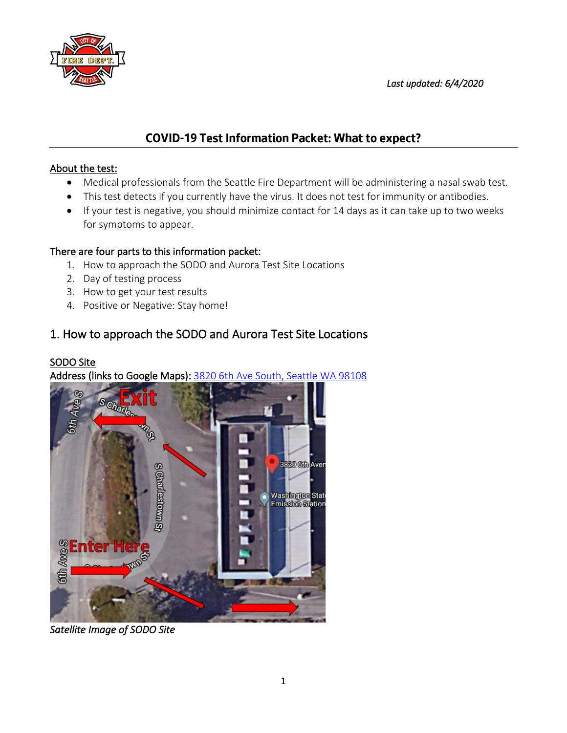



# **COVID-19 Test Information Packet: What to expect?**

#### About the test:

- Medical professionals from the Seattle Fire Department will be administering a nasal swab test.
- This test detects if you currently have the virus. It does not test for immunity or antibodies.
- If your test is negative, you should minimize contact for 14 days as it can take up to two weeks for symptoms to appear.

#### There are four parts to this information packet:

- 1. How to approach the SODO and Aurora Test Site Locations
- 2. Day of testing process
- 3. How to get your test results
- 4. Positive or Negative: Stay home!

# 1. How to approach the SODO and Aurora Test Site Locations

### SODO Site

Address (links to Google Maps): [3820 6th Ave South, Seattle WA 98108](https://goo.gl/maps/PJQhkbssJaxgE9yz9)



*Satellite Image of SODO Site*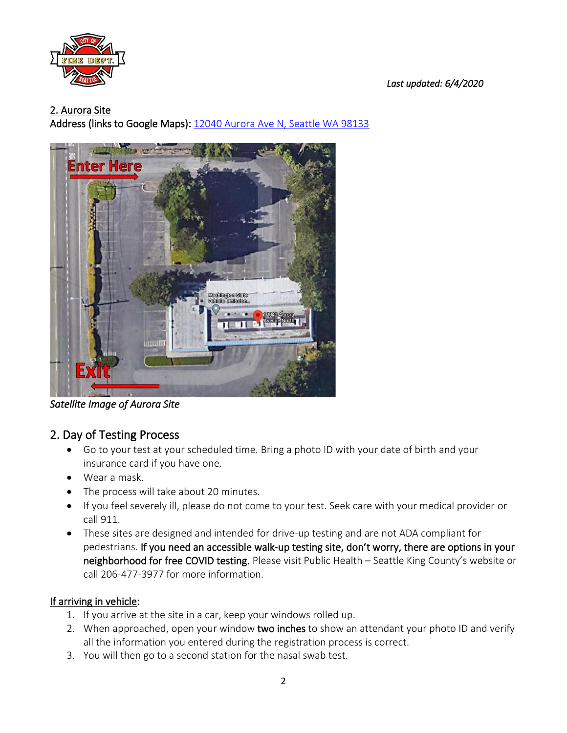

 *Last updated: 6/4/2020*

#### 2. Aurora Site

Address (links to Google Maps): [12040 Aurora Ave N, Seattle WA 98133](https://goo.gl/maps/HZkcfNbaxKDkxgUd7)



*Satellite Image of Aurora Site* 

# 2. Day of Testing Process

- Go to your test at your scheduled time. Bring a photo ID with your date of birth and your insurance card if you have one.
- Wear a mask.
- The process will take about 20 minutes.
- If you feel severely ill, please do not come to your test. Seek care with your medical provider or call 911.
- These sites are designed and intended for drive-up testing and are not ADA compliant for pedestrians. If you need an accessible walk-up testing site, don't worry, there are options in your neighborhood for free COVID testing. Please visit Public Health – Seattle King County's website or call 206-477-3977 for more information.

#### If arriving in vehicle:

- 1. If you arrive at the site in a car, keep your windows rolled up.
- 2. When approached, open your window two inches to show an attendant your photo ID and verify all the information you entered during the registration process is correct.
- 3. You will then go to a second station for the nasal swab test.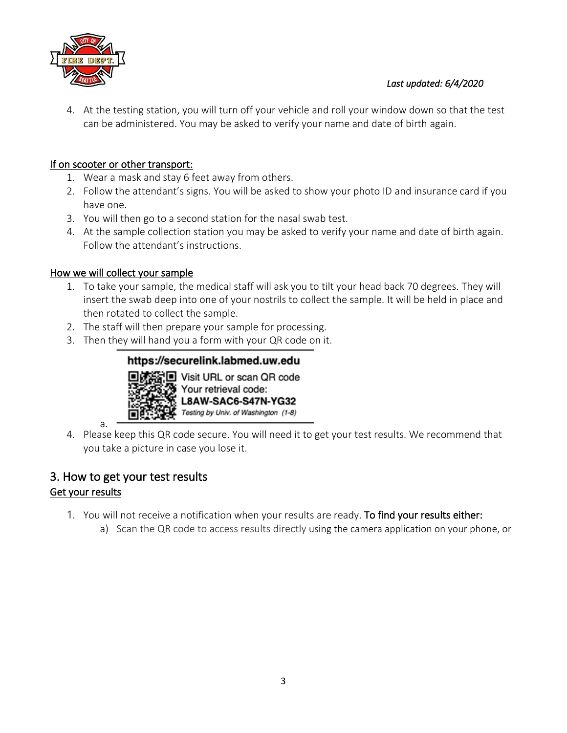

4. At the testing station, you will turn off your vehicle and roll your window down so that the test can be administered. You may be asked to verify your name and date of birth again.

### If on scooter or other transport:

- 1. Wear a mask and stay 6 feet away from others.
- 2. Follow the attendant's signs. You will be asked to show your photo ID and insurance card if you have one.
- 3. You will then go to a second station for the nasal swab test.
- 4. At the sample collection station you may be asked to verify your name and date of birth again. Follow the attendant's instructions.

#### How we will collect your sample

- 1. To take your sample, the medical staff will ask you to tilt your head back 70 degrees. They will insert the swab deep into one of your nostrils to collect the sample. It will be held in place and then rotated to collect the sample.
- 2. The staff will then prepare your sample for processing.
- 3. Then they will hand you a form with your QR code on it.

## https://securelink.labmed.uw.edu



**i**l Visit URL or scan QR code Your retrieval code: **L8AW-SAC6-S47N-YG32** Testing by Univ. of Washington (1-8)

- a.
- 4. Please keep this QR code secure. You will need it to get your test results. We recommend that you take a picture in case you lose it.

## 3. How to get your test results Get your results

# 1. You will not receive a notification when your results are ready. To find your results either:

a) Scan the QR code to access results directly using the camera application on your phone, or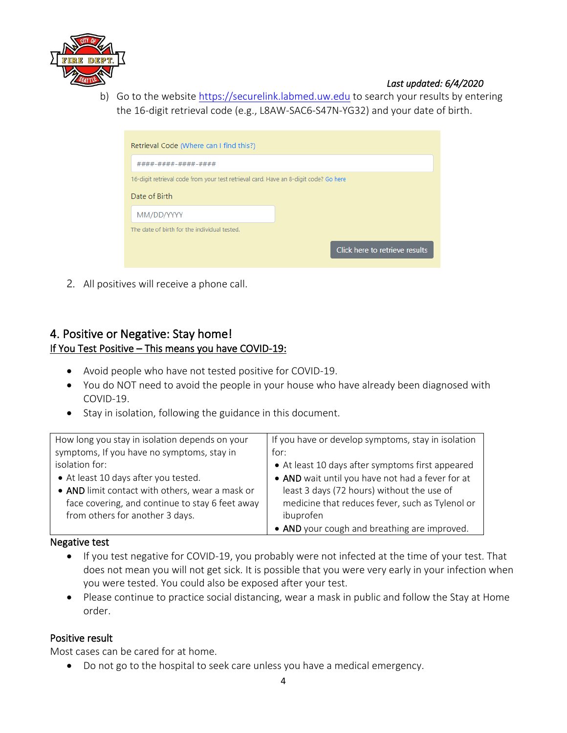

#### *Last updated: 6/4/2020*

b) Go to the website [https://securelink.labmed.uw.edu](https://securelink.labmed.uw.edu/) to search your results by entering the 16-digit retrieval code (e.g., L8AW-SAC6-S47N-YG32) and your date of birth.

| Retrieval Code (Where can I find this?)                                              |                                |  |
|--------------------------------------------------------------------------------------|--------------------------------|--|
| ####-####-####-####                                                                  |                                |  |
| 16-digit retrieval code from your test retrieval card. Have an 8-digit code? Go here |                                |  |
| Date of Birth                                                                        |                                |  |
| MM/DD/YYYY                                                                           |                                |  |
| The date of birth for the individual tested.                                         |                                |  |
|                                                                                      | Click here to retrieve results |  |

2. All positives will receive a phone call.

## 4. Positive or Negative: Stay home! If You Test Positive – This means you have COVID-19:

- Avoid people who have not tested positive for COVID-19.
- You do NOT need to avoid the people in your house who have already been diagnosed with COVID-19.
- Stay in isolation, following the guidance in this document.

| How long you stay in isolation depends on your  | If you have or develop symptoms, stay in isolation |
|-------------------------------------------------|----------------------------------------------------|
| symptoms, If you have no symptoms, stay in      | for:                                               |
| isolation for:                                  | • At least 10 days after symptoms first appeared   |
| • At least 10 days after you tested.            | • AND wait until you have not had a fever for at   |
| • AND limit contact with others, wear a mask or | least 3 days (72 hours) without the use of         |
| face covering, and continue to stay 6 feet away | medicine that reduces fever, such as Tylenol or    |
| from others for another 3 days.                 | ibuprofen                                          |
|                                                 | • AND your cough and breathing are improved.       |

#### Negative test

- If you test negative for COVID-19, you probably were not infected at the time of your test. That does not mean you will not get sick. It is possible that you were very early in your infection when you were tested. You could also be exposed after your test.
- Please continue to practice social distancing, wear a mask in public and follow the Stay at Home order.

#### Positive result

Most cases can be cared for at home.

• Do not go to the hospital to seek care unless you have a medical emergency.